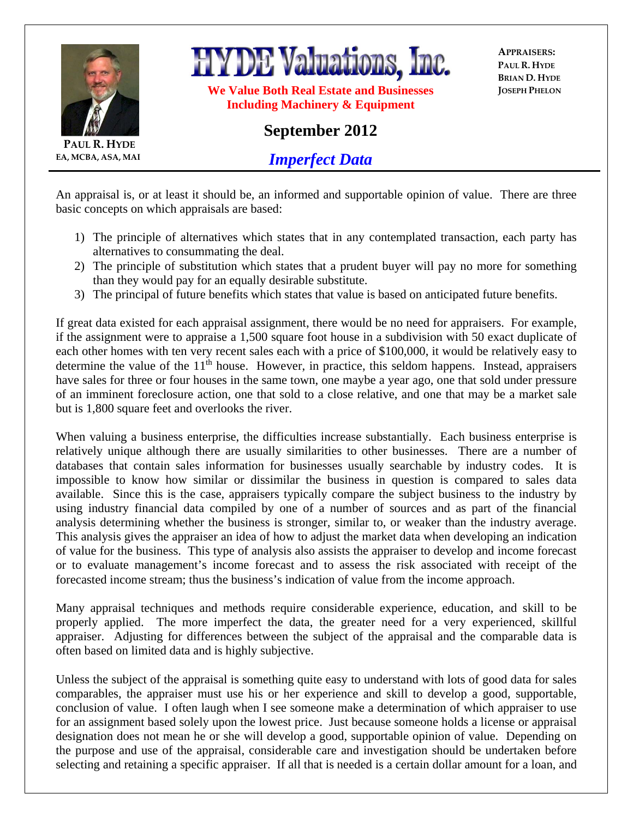

**PAUL R. HYDE EA, MCBA, ASA, MAI** **HYDE Valuations, Inc.** 

**We Value Both Real Estate and Businesses Including Machinery & Equipment** 

**APPRAISERS: PAUL R. HYDE BRIAN D. HYDE JOSEPH PHELON**

## **September 2012**

*Imperfect Data*

An appraisal is, or at least it should be, an informed and supportable opinion of value. There are three basic concepts on which appraisals are based:

- 1) The principle of alternatives which states that in any contemplated transaction, each party has alternatives to consummating the deal.
- 2) The principle of substitution which states that a prudent buyer will pay no more for something than they would pay for an equally desirable substitute.
- 3) The principal of future benefits which states that value is based on anticipated future benefits.

If great data existed for each appraisal assignment, there would be no need for appraisers. For example, if the assignment were to appraise a 1,500 square foot house in a subdivision with 50 exact duplicate of each other homes with ten very recent sales each with a price of \$100,000, it would be relatively easy to determine the value of the  $11<sup>th</sup>$  house. However, in practice, this seldom happens. Instead, appraisers have sales for three or four houses in the same town, one maybe a year ago, one that sold under pressure of an imminent foreclosure action, one that sold to a close relative, and one that may be a market sale but is 1,800 square feet and overlooks the river.

When valuing a business enterprise, the difficulties increase substantially. Each business enterprise is relatively unique although there are usually similarities to other businesses. There are a number of databases that contain sales information for businesses usually searchable by industry codes. It is impossible to know how similar or dissimilar the business in question is compared to sales data available. Since this is the case, appraisers typically compare the subject business to the industry by using industry financial data compiled by one of a number of sources and as part of the financial analysis determining whether the business is stronger, similar to, or weaker than the industry average. This analysis gives the appraiser an idea of how to adjust the market data when developing an indication of value for the business. This type of analysis also assists the appraiser to develop and income forecast or to evaluate management's income forecast and to assess the risk associated with receipt of the forecasted income stream; thus the business's indication of value from the income approach.

Many appraisal techniques and methods require considerable experience, education, and skill to be properly applied. The more imperfect the data, the greater need for a very experienced, skillful appraiser. Adjusting for differences between the subject of the appraisal and the comparable data is often based on limited data and is highly subjective.

Unless the subject of the appraisal is something quite easy to understand with lots of good data for sales comparables, the appraiser must use his or her experience and skill to develop a good, supportable, conclusion of value. I often laugh when I see someone make a determination of which appraiser to use for an assignment based solely upon the lowest price. Just because someone holds a license or appraisal designation does not mean he or she will develop a good, supportable opinion of value. Depending on the purpose and use of the appraisal, considerable care and investigation should be undertaken before selecting and retaining a specific appraiser. If all that is needed is a certain dollar amount for a loan, and